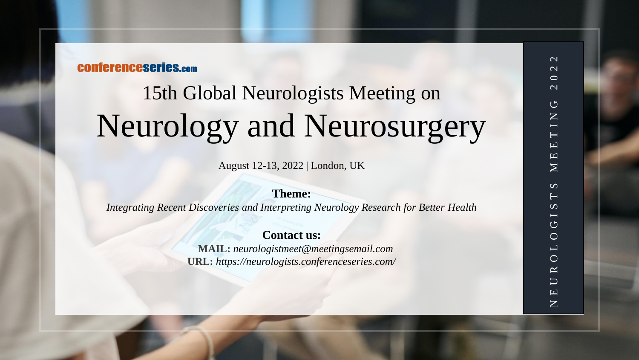## **CONferenceseries.com**

# 15th Global Neurologists Meeting on Neurology and Neurosurgery

August 12-13, 2022 | London, UK

#### **Theme:**

*Integrating Recent Discoveries and Interpreting Neurology Research for Better Health*

### **Contact us:**

**MAIL:** *neurologistmeet@meetingsemail.com*  **URL:** *https://neurologists.conferenceseries.com/*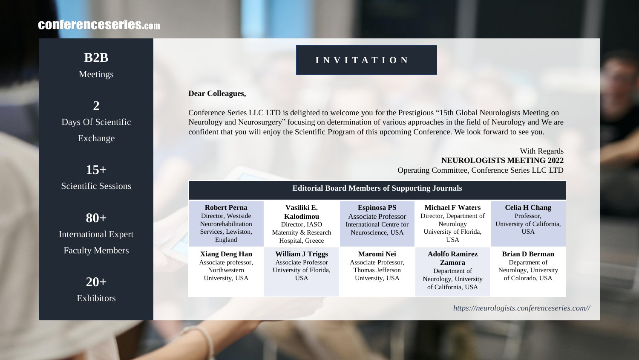# **CONferenceseries.com**

## Meetings

# **2** Days Of Scientific Exchange

**15+** Scientific Sessions

**80+** International Expert Faculty Members

> **20+** Exhibitors

# **B2B INVITATION**

#### **Dear Colleagues,**

Conference Series LLC LTD is delighted to welcome you for the Prestigious "15th Global Neurologists Meeting on Neurology and Neurosurgery" focusing on determination of various approaches in the field of Neurology and We are confident that you will enjoy the Scientific Program of this upcoming Conference. We look forward to see you.

> With Regards **NEUROLOGISTS MEETING 2022** Operating Committee, Conference Series LLC LTD

| <b>Editorial Board Members of Supporting Journals</b>                                              |                                                                                        |                                                                                                   |                                                                                                         |                                                                                     |
|----------------------------------------------------------------------------------------------------|----------------------------------------------------------------------------------------|---------------------------------------------------------------------------------------------------|---------------------------------------------------------------------------------------------------------|-------------------------------------------------------------------------------------|
| <b>Robert Perna</b><br>Director, Westside<br>Neurorehabilitation<br>Services, Lewiston,<br>England | Vasiliki E.<br>Kalodimou<br>Director, IASO<br>Maternity & Research<br>Hospital, Greece | <b>Espinosa PS</b><br><b>Associate Professor</b><br>International Centre for<br>Neuroscience, USA | <b>Michael F Waters</b><br>Director, Department of<br>Neurology<br>University of Florida,<br><b>USA</b> | <b>Celia H Chang</b><br>Professor,<br>University of California,<br><b>USA</b>       |
| <b>Xiang Deng Han</b><br>Associate professor,<br>Northwestern<br>University, USA                   | <b>William J Triggs</b><br>Associate Professor<br>University of Florida,<br><b>USA</b> | <b>Maromi Nei</b><br>Associate Professor,<br>Thomas Jefferson<br>University, USA                  | <b>Adolfo Ramirez</b><br><b>Zamora</b><br>Department of<br>Neurology, University<br>of California, USA  | <b>Brian D Berman</b><br>Department of<br>Neurology, University<br>of Colorado, USA |

*https://neurologists.conferenceseries.com//*